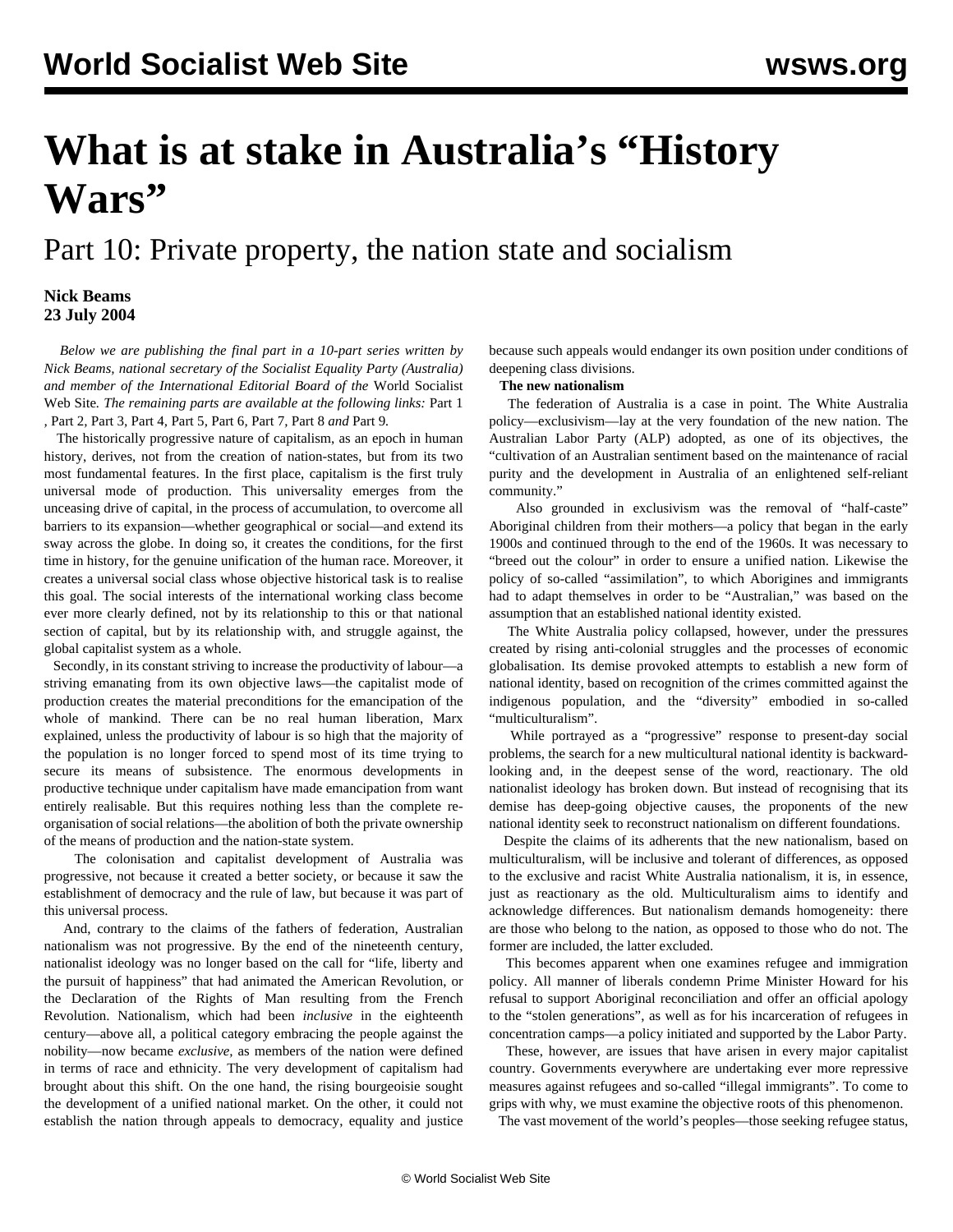# **What is at stake in Australia's "History Wars"**

Part 10: Private property, the nation state and socialism

## **Nick Beams 23 July 2004**

 *Below we are publishing the final part in a 10-part series written by Nick Beams, national secretary of the Socialist Equality Party (Australia) and member of the International Editorial Board of the* World Socialist Web Site*. The remaining parts are available at the following links:* [Part 1](/en/articles/2004/07/hiw1-j12.html) *,* [Part 2](/en/articles/2004/07/hiw2-j13.html)*,* [Part 3](/en/articles/2004/07/hiw3-j14.html)*,* [Part 4](/en/articles/2004/07/hiw4-j15.html)*,* [Part 5](/en/articles/2004/07/hiw5-j16.html)*,* [Part 6](/en/articles/2004/07/hiw6-j19.html)*,* [Part 7](/en/articles/2004/07/hiw7-j20.html)*,* [Part 8](/en/articles/2004/07/hiw8-j21.html) *and* [Part 9](/en/articles/2004/07/hiw9-j22.html)*.*

 The historically progressive nature of capitalism, as an epoch in human history, derives, not from the creation of nation-states, but from its two most fundamental features. In the first place, capitalism is the first truly universal mode of production. This universality emerges from the unceasing drive of capital, in the process of accumulation, to overcome all barriers to its expansion—whether geographical or social—and extend its sway across the globe. In doing so, it creates the conditions, for the first time in history, for the genuine unification of the human race. Moreover, it creates a universal social class whose objective historical task is to realise this goal. The social interests of the international working class become ever more clearly defined, not by its relationship to this or that national section of capital, but by its relationship with, and struggle against, the global capitalist system as a whole.

 Secondly, in its constant striving to increase the productivity of labour—a striving emanating from its own objective laws—the capitalist mode of production creates the material preconditions for the emancipation of the whole of mankind. There can be no real human liberation, Marx explained, unless the productivity of labour is so high that the majority of the population is no longer forced to spend most of its time trying to secure its means of subsistence. The enormous developments in productive technique under capitalism have made emancipation from want entirely realisable. But this requires nothing less than the complete reorganisation of social relations—the abolition of both the private ownership of the means of production and the nation-state system.

 The colonisation and capitalist development of Australia was progressive, not because it created a better society, or because it saw the establishment of democracy and the rule of law, but because it was part of this universal process.

 And, contrary to the claims of the fathers of federation, Australian nationalism was not progressive. By the end of the nineteenth century, nationalist ideology was no longer based on the call for "life, liberty and the pursuit of happiness" that had animated the American Revolution, or the Declaration of the Rights of Man resulting from the French Revolution. Nationalism, which had been *inclusive* in the eighteenth century—above all, a political category embracing the people against the nobility—now became *exclusive,* as members of the nation were defined in terms of race and ethnicity. The very development of capitalism had brought about this shift. On the one hand, the rising bourgeoisie sought the development of a unified national market. On the other, it could not establish the nation through appeals to democracy, equality and justice

because such appeals would endanger its own position under conditions of deepening class divisions.

## **The new nationalism**

 The federation of Australia is a case in point. The White Australia policy—exclusivism—lay at the very foundation of the new nation. The Australian Labor Party (ALP) adopted, as one of its objectives, the "cultivation of an Australian sentiment based on the maintenance of racial purity and the development in Australia of an enlightened self-reliant community."

 Also grounded in exclusivism was the removal of "half-caste" Aboriginal children from their mothers—a policy that began in the early 1900s and continued through to the end of the 1960s. It was necessary to "breed out the colour" in order to ensure a unified nation. Likewise the policy of so-called "assimilation", to which Aborigines and immigrants had to adapt themselves in order to be "Australian," was based on the assumption that an established national identity existed.

 The White Australia policy collapsed, however, under the pressures created by rising anti-colonial struggles and the processes of economic globalisation. Its demise provoked attempts to establish a new form of national identity, based on recognition of the crimes committed against the indigenous population, and the "diversity" embodied in so-called "multiculturalism".

 While portrayed as a "progressive" response to present-day social problems, the search for a new multicultural national identity is backwardlooking and, in the deepest sense of the word, reactionary. The old nationalist ideology has broken down. But instead of recognising that its demise has deep-going objective causes, the proponents of the new national identity seek to reconstruct nationalism on different foundations.

 Despite the claims of its adherents that the new nationalism, based on multiculturalism, will be inclusive and tolerant of differences, as opposed to the exclusive and racist White Australia nationalism, it is, in essence, just as reactionary as the old. Multiculturalism aims to identify and acknowledge differences. But nationalism demands homogeneity: there are those who belong to the nation, as opposed to those who do not. The former are included, the latter excluded.

 This becomes apparent when one examines refugee and immigration policy. All manner of liberals condemn Prime Minister Howard for his refusal to support Aboriginal reconciliation and offer an official apology to the "stolen generations", as well as for his incarceration of refugees in concentration camps—a policy initiated and supported by the Labor Party.

 These, however, are issues that have arisen in every major capitalist country. Governments everywhere are undertaking ever more repressive measures against refugees and so-called "illegal immigrants". To come to grips with why, we must examine the objective roots of this phenomenon.

The vast movement of the world's peoples—those seeking refugee status,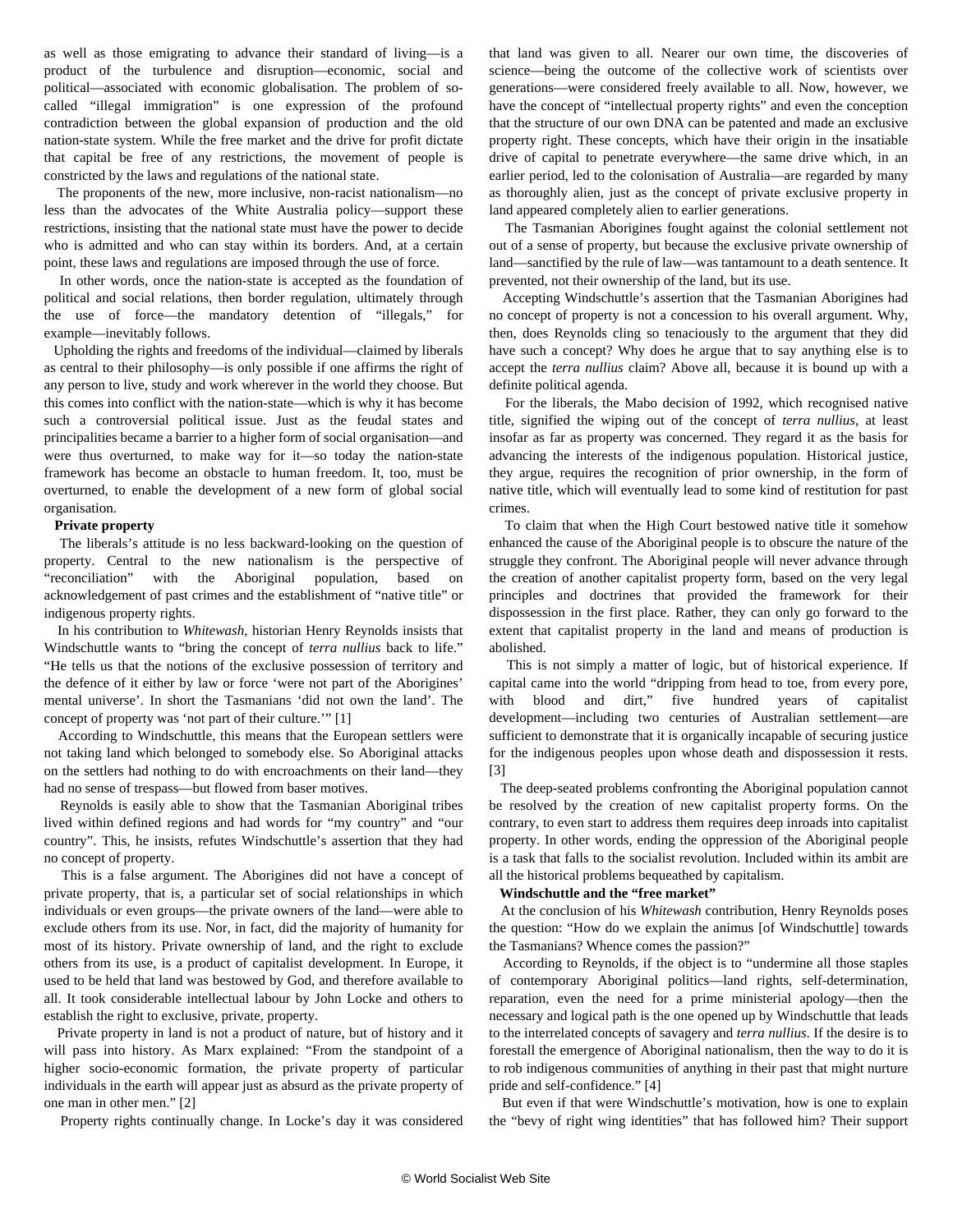as well as those emigrating to advance their standard of living—is a product of the turbulence and disruption—economic, social and political—associated with economic globalisation. The problem of socalled "illegal immigration" is one expression of the profound contradiction between the global expansion of production and the old nation-state system. While the free market and the drive for profit dictate that capital be free of any restrictions, the movement of people is constricted by the laws and regulations of the national state.

 The proponents of the new, more inclusive, non-racist nationalism—no less than the advocates of the White Australia policy—support these restrictions, insisting that the national state must have the power to decide who is admitted and who can stay within its borders. And, at a certain point, these laws and regulations are imposed through the use of force.

 In other words, once the nation-state is accepted as the foundation of political and social relations, then border regulation, ultimately through the use of force—the mandatory detention of "illegals," for example—inevitably follows.

 Upholding the rights and freedoms of the individual—claimed by liberals as central to their philosophy—is only possible if one affirms the right of any person to live, study and work wherever in the world they choose. But this comes into conflict with the nation-state—which is why it has become such a controversial political issue. Just as the feudal states and principalities became a barrier to a higher form of social organisation—and were thus overturned, to make way for it—so today the nation-state framework has become an obstacle to human freedom. It, too, must be overturned, to enable the development of a new form of global social organisation.

#### **Private property**

 The liberals's attitude is no less backward-looking on the question of property. Central to the new nationalism is the perspective of "reconciliation" with the Aboriginal population, based on acknowledgement of past crimes and the establishment of "native title" or indigenous property rights.

 In his contribution to *Whitewash*, historian Henry Reynolds insists that Windschuttle wants to "bring the concept of *terra nullius* back to life." "He tells us that the notions of the exclusive possession of territory and the defence of it either by law or force 'were not part of the Aborigines' mental universe'. In short the Tasmanians 'did not own the land'. The concept of property was 'not part of their culture.'" [1]

 According to Windschuttle, this means that the European settlers were not taking land which belonged to somebody else. So Aboriginal attacks on the settlers had nothing to do with encroachments on their land—they had no sense of trespass—but flowed from baser motives.

 Reynolds is easily able to show that the Tasmanian Aboriginal tribes lived within defined regions and had words for "my country" and "our country". This, he insists, refutes Windschuttle's assertion that they had no concept of property.

 This is a false argument. The Aborigines did not have a concept of private property, that is, a particular set of social relationships in which individuals or even groups—the private owners of the land—were able to exclude others from its use. Nor, in fact, did the majority of humanity for most of its history. Private ownership of land, and the right to exclude others from its use, is a product of capitalist development. In Europe, it used to be held that land was bestowed by God, and therefore available to all. It took considerable intellectual labour by John Locke and others to establish the right to exclusive, private, property.

 Private property in land is not a product of nature, but of history and it will pass into history. As Marx explained: "From the standpoint of a higher socio-economic formation, the private property of particular individuals in the earth will appear just as absurd as the private property of one man in other men." [2]

Property rights continually change. In Locke's day it was considered

that land was given to all. Nearer our own time, the discoveries of science—being the outcome of the collective work of scientists over generations—were considered freely available to all. Now, however, we have the concept of "intellectual property rights" and even the conception that the structure of our own DNA can be patented and made an exclusive property right. These concepts, which have their origin in the insatiable drive of capital to penetrate everywhere—the same drive which, in an earlier period, led to the colonisation of Australia—are regarded by many as thoroughly alien, just as the concept of private exclusive property in land appeared completely alien to earlier generations.

 The Tasmanian Aborigines fought against the colonial settlement not out of a sense of property, but because the exclusive private ownership of land—sanctified by the rule of law—was tantamount to a death sentence. It prevented, not their ownership of the land, but its use.

 Accepting Windschuttle's assertion that the Tasmanian Aborigines had no concept of property is not a concession to his overall argument. Why, then, does Reynolds cling so tenaciously to the argument that they did have such a concept? Why does he argue that to say anything else is to accept the *terra nullius* claim? Above all, because it is bound up with a definite political agenda.

 For the liberals, the Mabo decision of 1992, which recognised native title, signified the wiping out of the concept of *terra nullius*, at least insofar as far as property was concerned. They regard it as the basis for advancing the interests of the indigenous population. Historical justice, they argue, requires the recognition of prior ownership, in the form of native title, which will eventually lead to some kind of restitution for past crimes.

 To claim that when the High Court bestowed native title it somehow enhanced the cause of the Aboriginal people is to obscure the nature of the struggle they confront. The Aboriginal people will never advance through the creation of another capitalist property form, based on the very legal principles and doctrines that provided the framework for their dispossession in the first place. Rather, they can only go forward to the extent that capitalist property in the land and means of production is abolished.

 This is not simply a matter of logic, but of historical experience. If capital came into the world "dripping from head to toe, from every pore, with blood and dirt," five hundred years of capitalist development—including two centuries of Australian settlement—are sufficient to demonstrate that it is organically incapable of securing justice for the indigenous peoples upon whose death and dispossession it rests. [3]

 The deep-seated problems confronting the Aboriginal population cannot be resolved by the creation of new capitalist property forms. On the contrary, to even start to address them requires deep inroads into capitalist property. In other words, ending the oppression of the Aboriginal people is a task that falls to the socialist revolution. Included within its ambit are all the historical problems bequeathed by capitalism.

#### **Windschuttle and the "free market"**

 At the conclusion of his *Whitewash* contribution, Henry Reynolds poses the question: "How do we explain the animus [of Windschuttle] towards the Tasmanians? Whence comes the passion?"

 According to Reynolds, if the object is to "undermine all those staples of contemporary Aboriginal politics—land rights, self-determination, reparation, even the need for a prime ministerial apology—then the necessary and logical path is the one opened up by Windschuttle that leads to the interrelated concepts of savagery and *terra nullius*. If the desire is to forestall the emergence of Aboriginal nationalism, then the way to do it is to rob indigenous communities of anything in their past that might nurture pride and self-confidence." [4]

 But even if that were Windschuttle's motivation, how is one to explain the "bevy of right wing identities" that has followed him? Their support